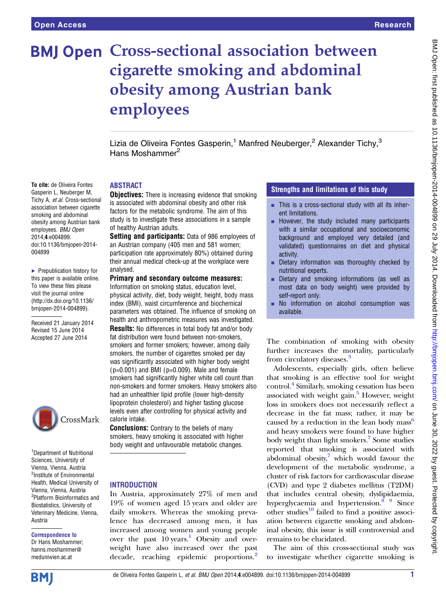To cite: de Oliveira Fontes Gasperin L, Neuberger M, Tichy A, et al. Cross-sectional association between cigarette smoking and abdominal obesity among Austrian bank employees. BMJ Open 2014;4:e004899.

doi:10.1136/bmjopen-2014-

▶ Prepublication history for this paper is available online. To view these files please visit the journal online [\(http://dx.doi.org/10.1136/](http://dx.doi.org/10.1136/bmjopen-2014-004899) [bmjopen-2014-004899](http://dx.doi.org/10.1136/bmjopen-2014-004899)). Received 21 January 2014 Revised 15 June 2014 Accepted 27 June 2014

<sup>1</sup>Department of Nutritional Sciences, University of Vienna, Vienna, Austria <sup>2</sup>Institute of Environmental Health, Medical University of Vienna, Vienna, Austria <sup>3</sup>Platform Bioinformatics and Biostatistics, University of Veterinary Medicine, Vienna,

CrossMark

004899

# **BMJ Open Cross-sectional association between** cigarette smoking and abdominal obesity among Austrian bank employees

Lizia de Oliveira Fontes Gasperin,<sup>1</sup> Manfred Neuberger,<sup>2</sup> Alexander Tichy,<sup>3</sup> Hans Moshammer<sup>2</sup>

## ABSTRACT

**Objectives:** There is increasing evidence that smoking is associated with abdominal obesity and other risk factors for the metabolic syndrome. The aim of this study is to investigate these associations in a sample of healthy Austrian adults.

Setting and participants: Data of 986 employees of an Austrian company (405 men and 581 women; participation rate approximately 80%) obtained during their annual medical check-up at the workplace were analysed.

Primary and secondary outcome measures:

Information on smoking status, education level, physical activity, diet, body weight, height, body mass index (BMI), waist circumference and biochemical parameters was obtained. The influence of smoking on health and anthropometric measures was investigated. Results: No differences in total body fat and/or body

fat distribution were found between non-smokers. smokers and former smokers; however, among daily smokers, the number of cigarettes smoked per day was significantly associated with higher body weight  $(p=0.001)$  and BMI ( $p=0.009$ ). Male and female smokers had significantly higher white cell count than non-smokers and former smokers. Heavy smokers also had an unhealthier lipid profile (lower high-density lipoprotein cholesterol) and higher fasting glucose levels even after controlling for physical activity and calorie intake.

**Conclusions:** Contrary to the beliefs of many smokers, heavy smoking is associated with higher body weight and unfavourable metabolic changes.

#### **INTRODUCTION**

In Austria, approximately 27% of men and 19% of women aged 15 years and older are daily smokers. Whereas the smoking prevalence has decreased among men, it has increased among women and young people over the past  $10 \text{ years.}$  $10 \text{ years.}$ <sup>1</sup> Obesity and overweight have also increased over the past decade, reaching epidemic proportions.<sup>[2](#page-6-0)</sup>

# Strengths and limitations of this study

- This is a cross-sectional study with all its inherent limitations.
- $\blacksquare$  However, the study included many participants with a similar occupational and socioeconomic background and employed very detailed (and validated) questionnaires on diet and physical activity.
- $\blacksquare$  Dietary information was thoroughly checked by nutritional experts.
- $\blacksquare$  Dietary and smoking informations (as well as most data on body weight) were provided by self-report only.
- **■** No information on alcohol consumption was available.

The combination of smoking with obesity further increases the mortality, particularly from circulatory diseases.<sup>[3](#page-6-0)</sup>

Adolescents, especially girls, often believe that smoking is an effective tool for weight control[.4](#page-6-0) Similarly, smoking cessation has been associated with weight gain. $5$  However, weight loss in smokers does not necessarily reflect a decrease in the fat mass; rather, it may be caused by a reduction in the lean body mass<sup>6</sup> and heavy smokers were found to have higher body weight than light smokers.<sup>7</sup> Some studies reported that smoking is associated with abdominal obesity, $\frac{7}{1}$  which would favour the development of the metabolic syndrome, a cluster of risk factors for cardiovascular disease (CVD) and type 2 diabetes mellitus (T2DM) that includes central obesity, dyslipidaemia, hyperglycaemia and hypertension.<sup>8</sup> 9 Since other studies $^{10}$  $^{10}$  $^{10}$  failed to find a positive association between cigarette smoking and abdominal obesity, this issue is still controversial and remains to be elucidated.

The aim of this cross-sectional study was to investigate whether cigarette smoking is



Austria

Correspondence to Dr Hans Moshammer; hanns.moshammer@ meduniwien.ac.at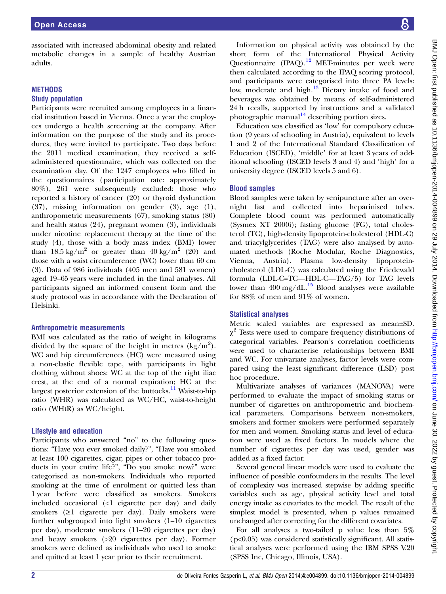associated with increased abdominal obesity and related metabolic changes in a sample of healthy Austrian adults.

## **METHODS**

#### Study population

Participants were recruited among employees in a financial institution based in Vienna. Once a year the employees undergo a health screening at the company. After information on the purpose of the study and its procedures, they were invited to participate. Two days before the 2011 medical examination, they received a selfadministered questionnaire, which was collected on the examination day. Of the 1247 employees who filled in the questionnaires (participation rate: approximately 80%), 261 were subsequently excluded: those who reported a history of cancer (20) or thyroid dysfunction (37), missing information on gender (3), age (1), anthropometric measurements (67), smoking status (80) and health status (24), pregnant women (3), individuals under nicotine replacement therapy at the time of the study (4), those with a body mass index (BMI) lower than 18.5 kg/m<sup>2</sup> or greater than 40 kg/m<sup>2</sup> (20) and those with a waist circumference (WC) lower than 60 cm (3). Data of 986 individuals (405 men and 581 women) aged 19–65 years were included in the final analyses. All participants signed an informed consent form and the study protocol was in accordance with the Declaration of Helsinki.

#### Anthropometric measurements

BMI was calculated as the ratio of weight in kilograms divided by the square of the height in metres  $\frac{\text{kg}}{m^2}$ . WC and hip circumferences (HC) were measured using a non-elastic flexible tape, with participants in light clothing without shoes: WC at the top of the right iliac crest, at the end of a normal expiration; HC at the largest posterior extension of the buttocks. $11$  Waist-to-hip ratio (WHR) was calculated as WC/HC, waist-to-height ratio (WHtR) as WC/height.

## Lifestyle and education

Participants who answered "no" to the following questions: "Have you ever smoked daily?", "Have you smoked at least 100 cigarettes, cigar, pipes or other tobacco products in your entire life?", "Do you smoke now?" were categorised as non-smokers. Individuals who reported smoking at the time of enrolment or quitted less than 1 year before were classified as smokers. Smokers included occasional (<1 cigarette per day) and daily smokers  $(\geq 1)$  cigarette per day). Daily smokers were further subgrouped into light smokers (1–10 cigarettes per day), moderate smokers (11–20 cigarettes per day) and heavy smokers (>20 cigarettes per day). Former smokers were defined as individuals who used to smoke and quitted at least 1 year prior to their recruitment.

Information on physical activity was obtained by the short form of the International Physical Activity Questionnaire (IPAQ).<sup>[12](#page-6-0)</sup> MET-minutes per week were then calculated according to the IPAQ scoring protocol, and participants were categorised into three PA levels: low, moderate and high.<sup>[13](#page-6-0)</sup> Dietary intake of food and beverages was obtained by means of self-administered 24 h recalls, supported by instructions and a validated photographic manual $14$  describing portion sizes.

Education was classified as 'low' for compulsory education (9 years of schooling in Austria), equivalent to levels 1 and 2 of the International Standard Classification of Education (ISCED), 'middle' for at least 3 years of additional schooling (ISCED levels 3 and 4) and 'high' for a university degree (ISCED levels 5 and 6).

## Blood samples

Blood samples were taken by venipuncture after an overnight fast and collected into heparinised tubes. Complete blood count was performed automatically (Sysmex XT 2000i); fasting glucose (FG), total cholesterol (TC), high-density lipoprotein-cholesterol (HDL-C) and triacylglycerides (TAG) were also analysed by automated methods (Roche Modular, Roche Diagnostics, Vienna, Austria). Plasma low-density lipoproteincholesterol (LDL-C) was calculated using the Friedewald formula (LDL-C=TC—HDL-C—TAG/5) for TAG levels lower than  $400 \text{ mg/dL}^{15}$  $400 \text{ mg/dL}^{15}$  $400 \text{ mg/dL}^{15}$  Blood analyses were available for 88% of men and 91% of women.

## Statistical analyses

Metric scaled variables are expressed as mean±SD.  $\chi^2$  Tests were used to compare frequency distributions of categorical variables. Pearson's correlation coefficients were used to characterise relationships between BMI and WC. For univariate analyses, factor levels were compared using the least significant difference (LSD) post hoc procedure.

Multivariate analyses of variances (MANOVA) were performed to evaluate the impact of smoking status or number of cigarettes on anthropometric and biochemical parameters. Comparisons between non-smokers, smokers and former smokers were performed separately for men and women. Smoking status and level of education were used as fixed factors. In models where the number of cigarettes per day was used, gender was added as a fixed factor.

Several general linear models were used to evaluate the influence of possible confounders in the results. The level of complexity was increased stepwise by adding specific variables such as age, physical activity level and total energy intake as covariates to the model. The result of the simplest model is presented, when p values remained unchanged after correcting for the different covariates.

For all analyses a two-tailed p value less than 5% (p<0.05) was considered statistically significant. All statistical analyses were performed using the IBM SPSS V.20 (SPSS Inc, Chicago, Illinois, USA).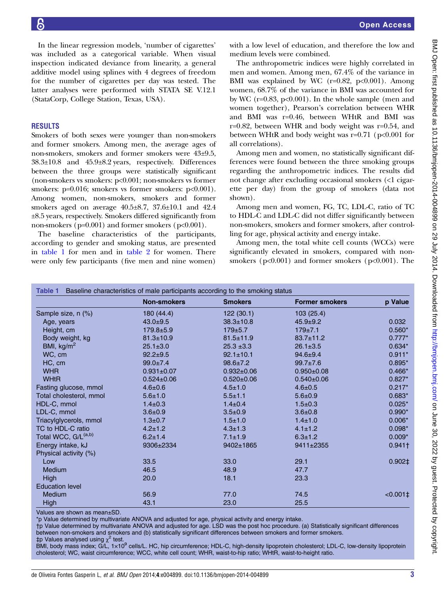<span id="page-2-0"></span>In the linear regression models, 'number of cigarettes' was included as a categorical variable. When visual inspection indicated deviance from linearity, a general additive model using splines with 4 degrees of freedom for the number of cigarettes per day was tested. The latter analyses were performed with STATA SE V.12.1 (StataCorp, College Station, Texas, USA).

#### RESULTS

Smokers of both sexes were younger than non-smokers and former smokers. Among men, the average ages of non-smokers, smokers and former smokers were 43±9.5, 38.3±10.8 and 45.9±8.2 years, respectively. Differences between the three groups were statistically significant (non-smokers vs smokers: p<0.001; non-smokers vs former smokers:  $p=0.016$ ; smokers vs former smokers:  $p<0.001$ ). Among women, non-smokers, smokers and former smokers aged on average 40.5±8.7, 37.6±10.1 and 42.4 ±8.5 years, respectively. Smokers differed significantly from non-smokers ( $p=0.001$ ) and former smokers ( $p<0.001$ ).

The baseline characteristics of the participants, according to gender and smoking status, are presented in table 1 for men and in [table 2](#page-3-0) for women. There were only few participants (five men and nine women)

with a low level of education, and therefore the low and medium levels were combined.

The anthropometric indices were highly correlated in men and women. Among men, 67.4% of the variance in BMI was explained by WC  $(r=0.82, p<0.001)$ . Among women, 68.7% of the variance in BMI was accounted for by WC ( $r=0.83$ ,  $p<0.001$ ). In the whole sample (men and women together), Pearson's correlation between WHR and BMI was r=0.46, between WHtR and BMI was r=0.82, between WHR and body weight was r=0.54, and between WHtR and body weight was  $r=0.71$  (p<0.001 for all correlations).

Among men and women, no statistically significant differences were found between the three smoking groups regarding the anthropometric indices. The results did not change after excluding occasional smokers (<1 cigarette per day) from the group of smokers (data not shown).

Among men and women, FG, TC, LDL-C, ratio of TC to HDL-C and LDL-C did not differ significantly between non-smokers, smokers and former smokers, after controlling for age, physical activity and energy intake.

Among men, the total white cell counts (WCCs) were significantly elevated in smokers, compared with nonsmokers ( $p<0.001$ ) and former smokers ( $p<0.001$ ). The

|                                 | <b>Non-smokers</b> | <b>Smokers</b>   | <b>Former smokers</b> | p Value          |
|---------------------------------|--------------------|------------------|-----------------------|------------------|
| Sample size, n (%)              | 180 (44.4)         | 122(30.1)        | 103(25.4)             |                  |
| Age, years                      | $43.0 + 9.5$       | $38.3 \pm 10.8$  | $45.9 + 9.2$          | 0.032            |
| Height, cm                      | $179.8 \pm 5.9$    | $179 + 5.7$      | $179 + 7.1$           | $0.560*$         |
| Body weight, kg                 | $81.3 \pm 10.9$    | $81.5 \pm 11.9$  | $83.7 \pm 11.2$       | $0.777*$         |
| BMI, $\text{kg/m}^2$            | $25.1 \pm 3.0$     | $25.3 \pm 3.3$   | $26.1 \pm 3.5$        | $0.634*$         |
| WC, cm                          | $92.2 \pm 9.5$     | $92.1 \pm 10.1$  | $94.6 + 9.4$          | $0.911*$         |
| HC, cm                          | $99.0 \pm 7.4$     | $98.6 \pm 7.2$   | $99.7 \pm 7.6$        | $0.895*$         |
| <b>WHR</b>                      | $0.931 \pm 0.07$   | $0.932 \pm 0.06$ | $0.950 \pm 0.08$      | $0.466*$         |
| <b>WHtR</b>                     | $0.524 \pm 0.06$   | $0.520 \pm 0.06$ | $0.540 \pm 0.06$      | $0.827*$         |
| Fasting glucose, mmol           | $4.6 \pm 0.6$      | $4.5 \pm 1.0$    | $4.6 \pm 0.5$         | $0.217*$         |
| Total cholesterol, mmol         | $5.6 \pm 1.0$      | $5.5 \pm 1.1$    | $5.6 + 0.9$           | $0.683*$         |
| HDL-C, mmol                     | $1.4 \pm 0.3$      | $1.4 \pm 0.4$    | $1.5 \pm 0.3$         | $0.025*$         |
| LDL-C, mmol                     | $3.6 \pm 0.9$      | $3.5 \pm 0.9$    | $3.6 \pm 0.8$         | $0.990*$         |
| Triacylglycerols, mmol          | $1.3 + 0.7$        | $1.5 + 1.0$      | $1.4 \pm 1.0$         | $0.006*$         |
| TC to HDL-C ratio               | $4.2 \pm 1.2$      | $4.3 \pm 1.3$    | $4.1 \pm 1.2$         | $0.098*$         |
| Total WCC, G/L <sup>(a,b)</sup> | $6.2 \pm 1.4$      | $7.1 \pm 1.9$    | $6.3 \pm 1.2$         | $0.009*$         |
| Energy intake, kJ               | 9306±2334          | 9402±1865        | 9411±2355             | $0.941\dagger$   |
| Physical activity (%)           |                    |                  |                       |                  |
| Low                             | 33.5               | 33.0             | 29.1                  | $0.902 \ddagger$ |
| Medium                          | 46.5               | 48.9             | 47.7                  |                  |
| <b>High</b>                     | 20.0               | 18.1             | 23.3                  |                  |
| <b>Education level</b>          |                    |                  |                       |                  |
| <b>Medium</b>                   | 56.9               | 77.0             | 74.5                  | $< 0.001 \pm 1$  |
| <b>High</b>                     | 43.1               | 23.0             | 25.5                  |                  |

Values are shown as mean±SD.

\*p Value determined by multivariate ANOVA and adjusted for age, physical activity and energy intake.

†p Value determined by multivariate ANOVA and adjusted for age. LSD was the post hoc procedure. (a) Statistically significant differences between non-smokers and smokers and (b) statistically significant differences between smokers and former smokers.

‡p Values analysed using  $\chi^2$  test.

BMI, body mass index; G/L, 1×10<sup>9</sup> cells/L. HC, hip circumference; HDL-C, high-density lipoprotein cholesterol; LDL-C, low-density lipoprotein cholesterol; WC, waist circumference; WCC, white cell count; WHR, waist-to-hip ratio; WHtR, waist-to-height ratio.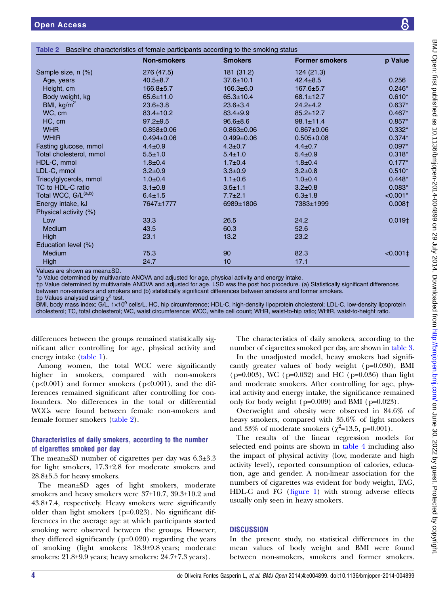<span id="page-3-0"></span>

|                                 | <b>Non-smokers</b> | <b>Smokers</b>   | <b>Former smokers</b> | p Value            |
|---------------------------------|--------------------|------------------|-----------------------|--------------------|
| Sample size, n (%)              | 276 (47.5)         | 181 (31.2)       | 124(21.3)             |                    |
| Age, years                      | $40.5 + 8.7$       | $37.6 \pm 10.1$  | $42.4 \pm 8.5$        | 0.256              |
| Height, cm                      | $166.8 + 5.7$      | $166.3 \pm 6.0$  | $167.6 \pm 5.7$       | $0.246*$           |
| Body weight, kg                 | $65.6 \pm 11.0$    | $65.3 \pm 10.4$  | $68.1 \pm 12.7$       | $0.610*$           |
| BMI, $kg/m2$                    | $23.6 \pm 3.8$     | $23.6 \pm 3.4$   | $24.2 + 4.2$          | $0.637*$           |
| WC, cm                          | $83.4 \pm 10.2$    | $83.4 \pm 9.9$   | $85.2 \pm 12.7$       | $0.467*$           |
| HC, cm                          | $97.2 \pm 9.5$     | $96.6 \pm 8.6$   | $98.1 \pm 11.4$       | $0.857*$           |
| <b>WHR</b>                      | $0.858 \pm 0.06$   | $0.863 \pm 0.06$ | $0.867 \pm 0.06$      | $0.332*$           |
| <b>WHtR</b>                     | $0.494 \pm 0.06$   | $0.499 \pm 0.06$ | $0.505 \pm 0.08$      | $0.374*$           |
| Fasting glucose, mmol           | $4.4 \pm 0.9$      | $4.3 \pm 0.7$    | $4.4 \pm 0.7$         | $0.097*$           |
| Total cholesterol, mmol         | $5.5 \pm 1.0$      | $5.4 \pm 1.0$    | $5.4 \pm 0.9$         | $0.318*$           |
| HDL-C, mmol                     | $1.8 + 0.4$        | $1.7 + 0.4$      | $1.8 + 0.4$           | $0.177*$           |
| LDL-C, mmol                     | $3.2 \pm 0.9$      | $3.3 \pm 0.9$    | $3.2 \pm 0.8$         | $0.510*$           |
| Triacylglycerols, mmol          | $1.0 + 0.4$        | $1.1 \pm 0.6$    | $1.0 + 0.4$           | $0.448*$           |
| TC to HDL-C ratio               | $3.1 \pm 0.8$      | $3.5 \pm 1.1$    | $3.2 \pm 0.8$         | $0.083*$           |
| Total WCC, G/L <sup>(a,b)</sup> | $6.4 \pm 1.5$      | $7.7 \pm 2.1$    | $6.3 \pm 1.8$         | $< 0.001*$         |
| Energy intake, kJ               | 7647±1777          | 6989±1806        | 7383±1999             | 0.008 <sub>†</sub> |
| Physical activity (%)           |                    |                  |                       |                    |
| Low                             | 33.3               | 26.5             | 24.2                  | 0.019 <sup>‡</sup> |
| Medium                          | 43.5               | 60.3             | 52.6                  |                    |
| High                            | 23.1               | 13.2             | 23.2                  |                    |
| Education level (%)             |                    |                  |                       |                    |
| <b>Medium</b>                   | 75.3               | 90               | 82.3                  | $< 0.001 \pm 1$    |
| High                            | 24.7               | 10               | 17.1                  |                    |

Values are shown as mean±SD.

\*p Value determined by multivariate ANOVA and adjusted for age, physical activity and energy intake.

†p Value determined by multivariate ANOVA and adjusted for age. LSD was the post hoc procedure. (a) Statistically significant differences between non-smokers and smokers and (b) statistically significant differences between smokers and former smokers.

 $\pm$ p Values analysed using  $\chi^2$  test.

BMI, body mass index; G/L, 1×109 cells/L. HC, hip circumference; HDL-C, high-density lipoprotein cholesterol; LDL-C, low-density lipoprotein cholesterol; TC, total cholesterol; WC, waist circumference; WCC, white cell count; WHR, waist-to-hip ratio; WHtR, waist-to-height ratio.

differences between the groups remained statistically significant after controlling for age, physical activity and energy intake ([table 1](#page-2-0)).

Among women, the total WCC were significantly higher in smokers, compared with non-smokers  $(p<0.001)$  and former smokers  $(p<0.001)$ , and the differences remained significant after controlling for confounders. No differences in the total or differential WCCs were found between female non-smokers and female former smokers (table 2).

# Characteristics of daily smokers, according to the number of cigarettes smoked per day

The mean±SD number of cigarettes per day was 6.3±3.3 for light smokers, 17.3±2.8 for moderate smokers and 28.8±5.5 for heavy smokers.

The mean±SD ages of light smokers, moderate smokers and heavy smokers were 37±10.7, 39.3±10.2 and 43.8±7.4, respectively. Heavy smokers were significantly older than light smokers (p=0.023). No significant differences in the average age at which participants started smoking were observed between the groups. However, they differed significantly (p=0.020) regarding the years of smoking (light smokers: 18.9±9.8 years; moderate smokers: 21.8±9.9 years; heavy smokers: 24.7±7.3 years).

The characteristics of daily smokers, according to the number of cigarettes smoked per day, are shown in [table 3.](#page-4-0)

In the unadjusted model, heavy smokers had significantly greater values of body weight (p=0.030), BMI (p=0.003), WC (p=0.032) and HC (p=0.036) than light and moderate smokers. After controlling for age, physical activity and energy intake, the significance remained only for body weight ( $p=0.009$ ) and BMI ( $p=0.023$ ).

Overweight and obesity were observed in 84.6% of heavy smokers, compared with 35.6% of light smokers and 33% of moderate smokers ( $\chi^2$ =13.5, p=0.001).

The results of the linear regression models for selected end points are shown in [table 4](#page-5-0) including also the impact of physical activity (low, moderate and high activity level), reported consumption of calories, education, age and gender. A non-linear association for the numbers of cigarettes was evident for body weight, TAG, HDL-C and FG (fi[gure 1\)](#page-5-0) with strong adverse effects usually only seen in heavy smokers.

# **DISCUSSION**

In the present study, no statistical differences in the mean values of body weight and BMI were found between non-smokers, smokers and former smokers.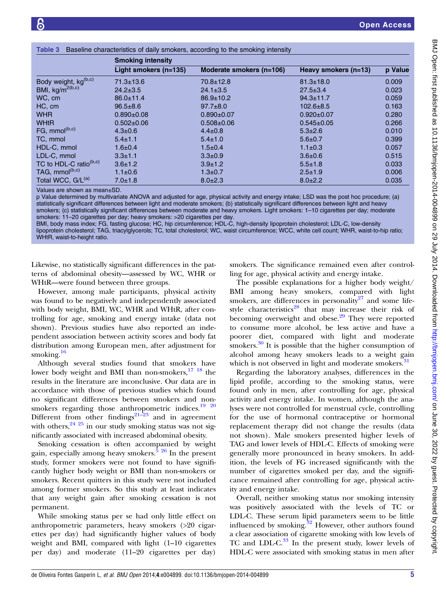|                                    | <b>Smoking intensity</b> |                          |                      |         |  |  |
|------------------------------------|--------------------------|--------------------------|----------------------|---------|--|--|
|                                    | Light smokers $(n=135)$  | Moderate smokers (n=106) | Heavy smokers (n=13) | p Value |  |  |
| Body weight, kg <sup>(b,c)</sup>   | $71.3 \pm 13.6$          | $70.8 \pm 12.8$          | $81.3 \pm 18.0$      | 0.009   |  |  |
| BMI, kg/m <sup>2(b,c)</sup>        | $24.2 \pm 3.5$           | $24.1 \pm 3.5$           | $27.5 \pm 3.4$       | 0.023   |  |  |
| WC, cm                             | $86.0 \pm 11.4$          | $86.9 \pm 10.2$          | $94.3 \pm 11.7$      | 0.059   |  |  |
| HC, cm                             | $96.5 \pm 8.6$           | $97.7 \pm 8.0$           | $102.6 \pm 8.5$      | 0.163   |  |  |
| <b>WHR</b>                         | $0.890 \pm 0.08$         | $0.890 \pm 0.07$         | $0.920 \pm 0.07$     | 0.280   |  |  |
| <b>WHtR</b>                        | $0.502 \pm 0.06$         | $0.508 \pm 0.06$         | $0.545 \pm 0.05$     | 0.266   |  |  |
| FG, mmol <sup>(b,c)</sup>          | $4.3 \pm 0.6$            | $4.4 \pm 0.8$            | $5.3 \pm 2.6$        | 0.010   |  |  |
| TC, mmol                           | $5.4 \pm 1.1$            | $5.4 \pm 1.0$            | $5.6 \pm 0.7$        | 0.399   |  |  |
| HDL-C, mmol                        | $1.6 \pm 0.4$            | $1.5 \pm 0.4$            | $1.1 \pm 0.3$        | 0.057   |  |  |
| LDL-C, mmol                        | $3.3 \pm 1.1$            | $3.3 \pm 0.9$            | $3.6 \pm 0.6$        | 0.515   |  |  |
| TC to HDL-C ratio <sup>(b,c)</sup> | $3.6 \pm 1.2$            | $3.9 \pm 1.2$            | $5.5 \pm 1.8$        | 0.033   |  |  |
| TAG, mmol <sup>(b,c)</sup>         | $1.1 \pm 0.6$            | $1.3 \pm 0.7$            | $2.5 \pm 1.9$        | 0.006   |  |  |
| Total WCC, G/L <sup>(a)</sup>      | $7.0 \pm 1.8$            | $8.0 \pm 2.3$            | $8.0 \pm 2.2$        | 0.035   |  |  |

<span id="page-4-0"></span>Table 3 Baseline characteristics of daily smokers, according to the smoking intensity

Values are shown as mean±SD.

p Value determined by multivariate ANOVA and adjusted for age, physical activity and energy intake; LSD was the post hoc procedure; (a) statistically significant differences between light and moderate smokers; (b) statistically significant differences between light and heavy smokers; (c) statistically significant differences between moderate and heavy smokers. Light smokers: 1–10 cigarettes per day; moderate smokers: 11–20 cigarettes per day; heavy smokers: >20 cigarettes per day.

BMI, body mass index; FG, fasting glucose; HC, hip circumference; HDL-C, high-density lipoprotein cholesterol; LDL-C, low-density

lipoprotein cholesterol; TAG, triacylglycerols; TC, total cholesterol; WC, waist circumference; WCC, white cell count; WHR, waist-to-hip ratio; WHtR, waist-to-height ratio.

Likewise, no statistically significant differences in the patterns of abdominal obesity—assessed by WC, WHR or WHtR—were found between three groups.

However, among male participants, physical activity was found to be negatively and independently associated with body weight, BMI, WC, WHR and WHtR, after controlling for age, smoking and energy intake (data not shown). Previous studies have also reported an independent association between activity scores and body fat distribution among European men, after adjustment for smoking.<sup>[16](#page-6-0)</sup>

Although several studies found that smokers have lower body weight and BMI than non-smokers, <sup>17</sup> <sup>18</sup> the results in the literature are inconclusive. Our data are in accordance with those of previous studies which found no significant differences between smokers and nonsmokers regarding those anthropometric indices.<sup>19</sup> <sup>20</sup> Different from other findings $21-\frac{23}{123}$  $21-\frac{23}{123}$  and in agreement with others,  $24\frac{25}{10}$  $24\frac{25}{10}$  in our study smoking status was not significantly associated with increased abdominal obesity.

Smoking cessation is often accompanied by weight gain, especially among heavy smokers.[5](#page-6-0) [26](#page-7-0) In the present study, former smokers were not found to have significantly higher body weight or BMI than non-smokers or smokers. Recent quitters in this study were not included among former smokers. So this study at least indicates that any weight gain after smoking cessation is not permanent.

While smoking status per se had only little effect on anthropometric parameters, heavy smokers (>20 cigarettes per day) had significantly higher values of body weight and BMI, compared with light (1–10 cigarettes per day) and moderate (11–20 cigarettes per day)

smokers. The significance remained even after controlling for age, physical activity and energy intake.

The possible explanations for a higher body weight/ BMI among heavy smokers, compared with light smokers, are differences in personality<sup>27</sup> and some life-style characteristics<sup>[28](#page-7-0)</sup> that may increase their risk of becoming overweight and obese.<sup>[29](#page-7-0)</sup> They were reported to consume more alcohol, be less active and have a poorer diet, compared with light and moderate smokers. $\frac{30}{11}$  $\frac{30}{11}$  $\frac{30}{11}$  It is possible that the higher consumption of alcohol among heavy smokers leads to a weight gain which is not observed in light and moderate smokers. $31$ 

Regarding the laboratory analyses, differences in the lipid profile, according to the smoking status, were found only in men, after controlling for age, physical activity and energy intake. In women, although the analyses were not controlled for menstrual cycle, controlling for the use of hormonal contraceptive or hormonal replacement therapy did not change the results (data not shown). Male smokers presented higher levels of TAG and lower levels of HDL-C. Effects of smoking were generally more pronounced in heavy smokers. In addition, the levels of FG increased significantly with the number of cigarettes smoked per day, and the significance remained after controlling for age, physical activity and energy intake.

Overall, neither smoking status nor smoking intensity was positively associated with the levels of TC or LDL-C. These serum lipid parameters seem to be little influenced by smoking. $32$  However, other authors found a clear association of cigarette smoking with low levels of TC and LDL-C. $33$  In the present study, lower levels of HDL-C were associated with smoking status in men after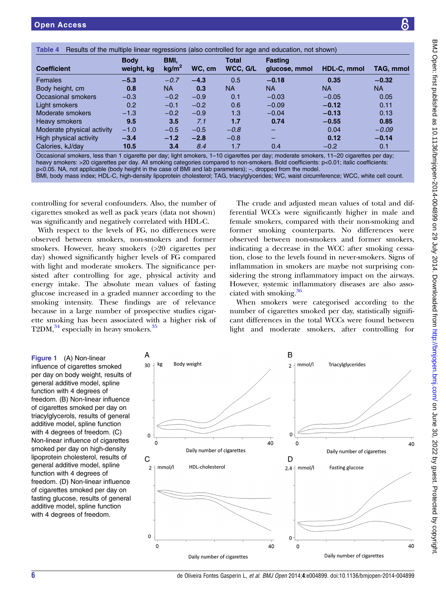<span id="page-5-0"></span>

| <b>Body</b><br><b>Coefficient</b>                                                                                                                                                                                                                                                                                                                                                                  | weight, kg     | BMI,<br>kg/m <sup>2</sup> | WC, cm                     | <b>Total</b><br>WCC, G/L | <b>Fasting</b><br>glucose, mmol                                                                                                                                                                                                                                                             | HDL-C, mmol                                            | TAG, mmol |
|----------------------------------------------------------------------------------------------------------------------------------------------------------------------------------------------------------------------------------------------------------------------------------------------------------------------------------------------------------------------------------------------------|----------------|---------------------------|----------------------------|--------------------------|---------------------------------------------------------------------------------------------------------------------------------------------------------------------------------------------------------------------------------------------------------------------------------------------|--------------------------------------------------------|-----------|
| <b>Females</b><br>$-5.3$                                                                                                                                                                                                                                                                                                                                                                           |                | $-0.7$                    | $-4.3$                     | 0.5                      | $-0.18$                                                                                                                                                                                                                                                                                     | 0.35                                                   | $-0.32$   |
| Body height, cm<br>0.8                                                                                                                                                                                                                                                                                                                                                                             |                | <b>NA</b>                 | 0.3                        | <b>NA</b>                | <b>NA</b>                                                                                                                                                                                                                                                                                   | <b>NA</b>                                              | <b>NA</b> |
| Occasional smokers<br>$-0.3$                                                                                                                                                                                                                                                                                                                                                                       |                | $-0.2$                    | $-0.9$                     | 0.1                      | $-0.03$                                                                                                                                                                                                                                                                                     | $-0.05$                                                | 0.05      |
| Light smokers<br>0.2                                                                                                                                                                                                                                                                                                                                                                               |                | $-0.1$                    | $-0.2$                     | 0.6                      | $-0.09$                                                                                                                                                                                                                                                                                     | $-0.12$                                                | 0.11      |
| Moderate smokers<br>$-1.3$                                                                                                                                                                                                                                                                                                                                                                         |                | $-0.2$                    | $-0.9$                     | 1.3                      | $-0.04$                                                                                                                                                                                                                                                                                     | $-0.13$                                                | 0.13      |
| 9.5<br>Heavy smokers                                                                                                                                                                                                                                                                                                                                                                               |                | 3.5                       | 7.1                        | $1.7$                    | 0.74                                                                                                                                                                                                                                                                                        | $-0.55$                                                | 0.85      |
| $-1.0$<br>Moderate physical activity                                                                                                                                                                                                                                                                                                                                                               |                | $-0.5$                    | $-0.5$                     | $-0.8$                   |                                                                                                                                                                                                                                                                                             | 0.04                                                   | $-0.09$   |
| $-3.4$<br>High physical activity                                                                                                                                                                                                                                                                                                                                                                   |                | $-1.2$                    | $-2.8$                     | $-0.8$                   |                                                                                                                                                                                                                                                                                             | 0.12                                                   | $-0.14$   |
| 10.5                                                                                                                                                                                                                                                                                                                                                                                               |                | 3.4                       | 8.4                        | 1.7                      | 0.4                                                                                                                                                                                                                                                                                         | $-0.2$                                                 | 0.1       |
| Calories, kJ/day<br>Occasional smokers, less than 1 cigarette per day; light smokers, 1-10 cigarettes per day; moderate smokers, 11-20 cigarettes per day;                                                                                                                                                                                                                                         |                |                           |                            |                          |                                                                                                                                                                                                                                                                                             |                                                        |           |
| heavy smokers: >20 cigarettes per day. All smoking categories compared to non-smokers. Bold coefficients: p<0.01; italic coefficients:<br>p<0.05. NA, not applicable (body height in the case of BMI and lab parameters); -, dropped from the model.<br>BMI, body mass index; HDL-C, high-density lipoprotein cholesterol; TAG, triacylglycerides; WC, waist circumference; WCC, white cell count. |                |                           |                            |                          |                                                                                                                                                                                                                                                                                             |                                                        |           |
| bserved between smokers, non-smokers and former<br>mokers. However, heavy smokers (>20 cigarettes per<br>ay) showed significantly higher levels of FG compared<br>ith light and moderate smokers. The significance per-<br>isted after controlling for age, physical activity and<br>nergy intake. The absolute mean values of fasting                                                             |                |                           |                            |                          | observed between non-smokers and former smokers,<br>indicating a decrease in the WCC after smoking cessa-<br>tion, close to the levels found in never-smokers. Signs of<br>inflammation in smokers are maybe not surprising con-<br>sidering the strong inflammatory impact on the airways. |                                                        |           |
|                                                                                                                                                                                                                                                                                                                                                                                                    |                |                           |                            |                          | ciated with smoking. $36$<br>When smokers were categorised according to the<br>number of cigarettes smoked per day, statistically signifi-<br>cant differences in the total WCCs were found between<br>light and moderate smokers, after controlling for                                    | However, systemic inflammatory diseases are also asso- |           |
| lucose increased in a graded manner according to the<br>moking intensity. These findings are of relevance<br>ecause in a large number of prospective studies cigar-<br>tte smoking has been associated with a higher risk of<br>$2DM, ^{34}$ especially in heavy smokers. $^{35}$                                                                                                                  | A              |                           |                            |                          | в                                                                                                                                                                                                                                                                                           |                                                        |           |
| igure 1 (A) Non-linear                                                                                                                                                                                                                                                                                                                                                                             |                |                           | Body weight                |                          |                                                                                                                                                                                                                                                                                             |                                                        |           |
| ifluence of cigarettes smoked                                                                                                                                                                                                                                                                                                                                                                      | 30             | kg                        |                            |                          | $2 + mmol/l$                                                                                                                                                                                                                                                                                | Triacylglycerides                                      |           |
| er day on body weight, results of                                                                                                                                                                                                                                                                                                                                                                  |                |                           |                            |                          |                                                                                                                                                                                                                                                                                             |                                                        |           |
| eneral additive model, spline                                                                                                                                                                                                                                                                                                                                                                      |                |                           |                            |                          |                                                                                                                                                                                                                                                                                             |                                                        |           |
| unction with 4 degrees of                                                                                                                                                                                                                                                                                                                                                                          |                |                           |                            |                          |                                                                                                                                                                                                                                                                                             |                                                        |           |
| eedom. (B) Non-linear influence                                                                                                                                                                                                                                                                                                                                                                    |                |                           |                            |                          |                                                                                                                                                                                                                                                                                             |                                                        |           |
| f cigarettes smoked per day on                                                                                                                                                                                                                                                                                                                                                                     |                |                           |                            |                          |                                                                                                                                                                                                                                                                                             |                                                        |           |
|                                                                                                                                                                                                                                                                                                                                                                                                    |                |                           |                            |                          |                                                                                                                                                                                                                                                                                             |                                                        |           |
|                                                                                                                                                                                                                                                                                                                                                                                                    |                |                           |                            |                          |                                                                                                                                                                                                                                                                                             |                                                        |           |
|                                                                                                                                                                                                                                                                                                                                                                                                    |                |                           |                            |                          | n                                                                                                                                                                                                                                                                                           |                                                        |           |
|                                                                                                                                                                                                                                                                                                                                                                                                    | 0              |                           |                            |                          |                                                                                                                                                                                                                                                                                             |                                                        |           |
|                                                                                                                                                                                                                                                                                                                                                                                                    | 0              |                           |                            |                          | 40<br>Ω                                                                                                                                                                                                                                                                                     |                                                        | 40        |
|                                                                                                                                                                                                                                                                                                                                                                                                    |                |                           | Daily number of cigarettes |                          |                                                                                                                                                                                                                                                                                             | Daily number of cigarettes                             |           |
|                                                                                                                                                                                                                                                                                                                                                                                                    | C              |                           |                            |                          | D                                                                                                                                                                                                                                                                                           |                                                        |           |
|                                                                                                                                                                                                                                                                                                                                                                                                    | $\overline{2}$ | mmol/l                    | HDL-cholesterol            |                          | mmol/l<br>$2.4 -$                                                                                                                                                                                                                                                                           | Fasting glucose                                        |           |
|                                                                                                                                                                                                                                                                                                                                                                                                    |                |                           |                            |                          |                                                                                                                                                                                                                                                                                             |                                                        |           |
|                                                                                                                                                                                                                                                                                                                                                                                                    |                |                           |                            |                          |                                                                                                                                                                                                                                                                                             |                                                        |           |
| iacylglycerols, results of general<br>dditive model, spline function<br>vith 4 degrees of freedom. (C)<br>lon-linear influence of cigarettes<br>moked per day on high-density<br>poprotein cholesterol, results of<br>eneral additive model, spline<br>unction with 4 degrees of<br>eedom. (D) Non-linear influence<br>f cigarettes smoked per day on                                              |                |                           |                            |                          |                                                                                                                                                                                                                                                                                             |                                                        |           |
| asting glucose, results of general                                                                                                                                                                                                                                                                                                                                                                 |                |                           |                            |                          |                                                                                                                                                                                                                                                                                             |                                                        |           |
| dditive model, spline function                                                                                                                                                                                                                                                                                                                                                                     |                |                           |                            |                          |                                                                                                                                                                                                                                                                                             |                                                        |           |
| vith 4 degrees of freedom.                                                                                                                                                                                                                                                                                                                                                                         |                |                           |                            |                          |                                                                                                                                                                                                                                                                                             |                                                        |           |
|                                                                                                                                                                                                                                                                                                                                                                                                    |                |                           |                            |                          |                                                                                                                                                                                                                                                                                             |                                                        |           |
|                                                                                                                                                                                                                                                                                                                                                                                                    |                |                           |                            |                          |                                                                                                                                                                                                                                                                                             |                                                        |           |
|                                                                                                                                                                                                                                                                                                                                                                                                    | 0              | 0                         |                            |                          | 0<br>$\pmb{0}$<br>40                                                                                                                                                                                                                                                                        |                                                        | 40        |

Daily number of cigarettes

Daily number of cigarettes

| !<br>;<br>;                |
|----------------------------|
|                            |
|                            |
|                            |
|                            |
|                            |
|                            |
|                            |
|                            |
|                            |
|                            |
|                            |
|                            |
| )<br>5<br>2<br>2           |
|                            |
|                            |
|                            |
|                            |
|                            |
|                            |
| <b>NA A NA DINA SA Lin</b> |
|                            |
|                            |
|                            |
|                            |
|                            |
|                            |
|                            |
|                            |
| .<br>.<br>.<br>.           |
|                            |
|                            |
|                            |
| र्तू                       |
|                            |
|                            |
|                            |
|                            |
|                            |
|                            |
|                            |
|                            |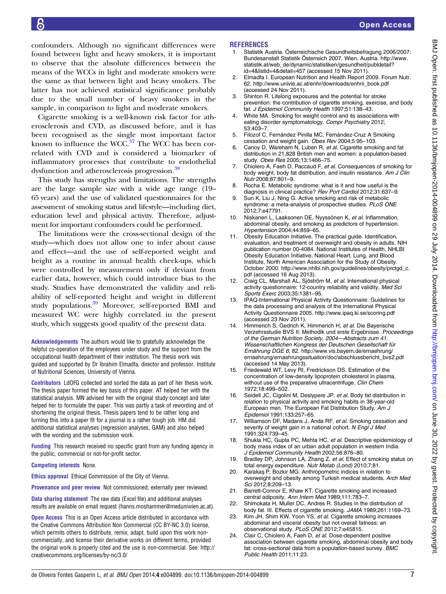<span id="page-6-0"></span>confounders. Although no significant differences were found between light and heavy smokers, it is important to observe that the absolute differences between the means of the WCCs in light and moderate smokers were the same as that between light and heavy smokers. The latter has not achieved statistical significance probably due to the small number of heavy smokers in the sample, in comparison to light and moderate smokers.

Cigarette smoking is a well-known risk factor for atherosclerosis and CVD, as discussed before, and it has been recognised as the single most important factor known to influence the WCC.<sup>[37](#page-7-0)</sup> The WCC has been correlated with CVD and is considered a biomarker of inflammatory processes that contribute to endothelial dysfunction and atherosclerosis progression.[38](#page-7-0)

This study has strengths and limitations. The strengths are the large sample size with a wide age range (19– 65 years) and the use of validated questionnaires for the assessment of smoking status and lifestyle—including diet, education level and physical activity. Therefore, adjustment for important confounders could be performed.

The limitations were the cross-sectional design of the study—which does not allow one to infer about cause and effect—and the use of self-reported weight and height as a routine in annual health check-ups, which were controlled by measurement only if deviant from earlier data, however, which could introduce bias to the study. Studies have demonstrated the validity and reliability of self-reported height and weight in different study populations.<sup>[39](#page-7-0)</sup> Moreover, self-reported BMI and measured WC were highly correlated in the present study, which suggests good quality of the present data.

Acknowledgements The authors would like to gratefully acknowledge the helpful co-operation of the employees under study and the support from the occupational health department of their institution. The thesis work was guided and supported by Dr Ibrahim Elmadfa, director and professor, Institute of Nutritional Sciences, University of Vienna.

Contributors LdOFG collected and sorted the data as part of her thesis work. The thesis paper formed the key basis of this paper. AT helped her with the statistical analysis. MN advised her with the original study concept and later helped her to formulate the paper. This was partly a task of rewording and of shortening the original thesis. Thesis papers tend to be rather long and turning this into a paper fit for a journal is a rather tough job. HM did additional statistical analyses (regression analyses, GAM) and also helped with the wording and the submission work.

Funding This research received no specific grant from any funding agency in the public, commercial or not-for-profit sector.

#### Competing interests None.

Ethics approval Ethical Commission of the City of Vienna.

Provenance and peer review Not commissioned; externally peer reviewed.

Data sharing statement The raw data (Excel file) and additional analyses results are available on email request (hanns.moshammer@meduniwien.ac.at).

Open Access This is an Open Access article distributed in accordance with the Creative Commons Attribution Non Commercial (CC BY-NC 3.0) license, which permits others to distribute, remix, adapt, build upon this work noncommercially, and license their derivative works on different terms, provided the original work is properly cited and the use is non-commercial. See: [http://](http://creativecommons.org/licenses/by-nc/3.0/) [creativecommons.org/licenses/by-nc/3.0/](http://creativecommons.org/licenses/by-nc/3.0/)

#### **REFERENCES**

- 1. Statistik Austria. Österreichische Gesundheitsbefragung 2006/2007: Bundesanstalt Statistik Österreich 2007. Wien, Austria. [http://www.](http://www.statistik.at/web_de/dynamic/statistiken/gesundheit/publdetail?id=4&listid=4&detail=457) [statistik.at/web\\_de/dynamic/statistiken/gesundheit/publdetail?](http://www.statistik.at/web_de/dynamic/statistiken/gesundheit/publdetail?id=4&listid=4&detail=457) [id=4&listid=4&detail=457](http://www.statistik.at/web_de/dynamic/statistiken/gesundheit/publdetail?id=4&listid=4&detail=457) (accessed 15 Nov 2011).
- 2. Elmadfa I. European Nutrition and Health Report 2009. Forum Nutr. 62. [http://www.univie.ac.at/enhr/downloads/enhrii\\_book.pdf](http://www.univie.ac.at/enhr/downloads/enhrii_book.pdf) (accessed 24 Nov 2011).
- Shinton R. Lifelong exposures and the potential for stroke prevention: the contribution of cigarette smoking, exercise, and body fat. J Epidemiol Community Health 1997;51:138-43.
- White MA. Smoking for weight control and its associations with eating disorder symptomatology. Compr Psychiatry 2012; 53:403–7.
- 5. Filozof C, Fernández Pinilla MC, Fernández-Cruz A Smoking cessation and weight gain. Obes Rev 2004;5:95–103.
- Canoy D, Wareham N, Luben R, et al. Cigarette smoking and fat distribution in 21,828 British men and women: a population-based study. Obes Res 2005;13:1466–75.
- 7. Chiolero A, Faeh D, Paccaud F, et al. Consequences of smoking for body weight, body fat distribution, and insulin resistance. Am J Clin Nutr 2008;87:801–9.
- Rocha E. Metabolic syndrome: what is it and how useful is the diagnosis in clinical practice? Rev Port Cardiol 2012;31:637–9.
- 9. Sun K, Liu J, Ning G. Active smoking and risk of metabolic syndrome: a meta-analysis of prospective studies. PLoS ONE 2012;7:e47791.
- 10. Niskanen L, Laaksonen DE, Nyyssönen K, et al. Inflammation, abdominal obesity, and smoking as predictors of hypertension. Hypertension 2004;44:859–65.
- 11. Obesity Education Initiative. The practical guide. Identification, evaluation, and treatment of overweight and obesity in adults. NIH publication number 00-4084. National Institutes of Health, NHLBI Obesity Education Initiative, National Heart, Lung, and Blood Institute, North American Association for the Study of Obesity. October 2000. [http://www.nhlbi.nih.gov/guidelines/obesity/prctgd\\_c.](http://www.nhlbi.nih.gov/guidelines/obesity/prctgd_c.pdf) [pdf](http://www.nhlbi.nih.gov/guidelines/obesity/prctgd_c.pdf) (accessed 16 Aug 2013).
- 12. Craig CL, Marshall AL, Sjöström M, et al. International physical activity questionnaire: 12-country reliability and validity. Med Sci Sports Exerc 2003;35:1381–95.
- 13. IPAQ-International Physical Activity Questionnaire. Guidelines for the data processing and analysis of the International Physical Activity Questionnaire 2005.<http://www.ipaq.ki.se/scoring.pdf> (accessed 23 Nov 2011).
- 14. Himmerich S, Gedrich K, Himmerich H, et al. Die Bayerische Verzehrsstudie BVS II: Methodik und erste Ergebnisse. Proceedings of the German Nutrition Society, 2004—Abstracts zum 41. Wissenschaftlichen Kongress der Deutschen Gesellschaft für Ernährung DGE 6; 82. [http://www.vis.bayern.de/ernaehrung/](http://www.vis.bayern.de/ernaehrung/ernaehrung/ernaehrungssituation/doc/abschlussbericht_bvs2.pdf) [ernaehrung/ernaehrungssituation/doc/abschlussbericht\\_bvs2.pdf](http://www.vis.bayern.de/ernaehrung/ernaehrung/ernaehrungssituation/doc/abschlussbericht_bvs2.pdf) (accessed 14 May 2013).
- 15. Friedewald WT, Levy RI, Fredrickson DS. Estimation of the concentration of low-density lipoprotein cholesterol in plasma, without use of the preparative ultracentrifuge. Clin Chem 1972;18:499–502.
- 16. Seidell JC, Cigolini M, Deslypere JP, et al. Body fat distribution in relation to physical activity and smoking habits in 38-year-old European men. The European Fat Distribution Study. Am J Epidemiol 1991;133:257–65.
- 17. Williamson DF, Madans J, Anda RF, et al. Smoking cessation and severity of weight gain in a national cohort. N Engl J Med 1991;324:739–45.
- 18. Shukla HC, Gupta PC, Mehta HC, et al. Descriptive epidemiology of body mass index of an urban adult population in western India. J Epidemiol Community Health 2002;56:876–80.
- 19. Bradley DP, Johnson LA, Zhang Z, et al. Effect of smoking status on total energy expenditure. Nutr Metab (Lond) 2010;7:81.
- 20. Karakaş P, Bozkir MG. Anthropometric indices in relation to overweight and obesity among Turkish medical students. Arch Med Sci 2012;8:209–13.
- 21. Barrett-Connor E, Khaw KT. Cigarette smoking and increased central adiposity. Ann Intern Med 1989;111:783-7.
- 22. Shimokata H, Muller DC, Andres R. Studies in the distribution of body fat. III. Effects of cigarette smoking. JAMA 1989;261:1169–73.
- 23. Kim JH, Shim KW, Yoon YS, et al. Cigarette smoking increases abdominal and visceral obesity but not overall fatness: an observational study. PLoS ONE 2012;7:e45815.
- 24. Clair C, Chiolero A, Faeh D, et al. Dose-dependent positive association between cigarette smoking, abdominal obesity and body fat: cross-sectional data from a population-based survey. BMC Public Health 2011;11:23.